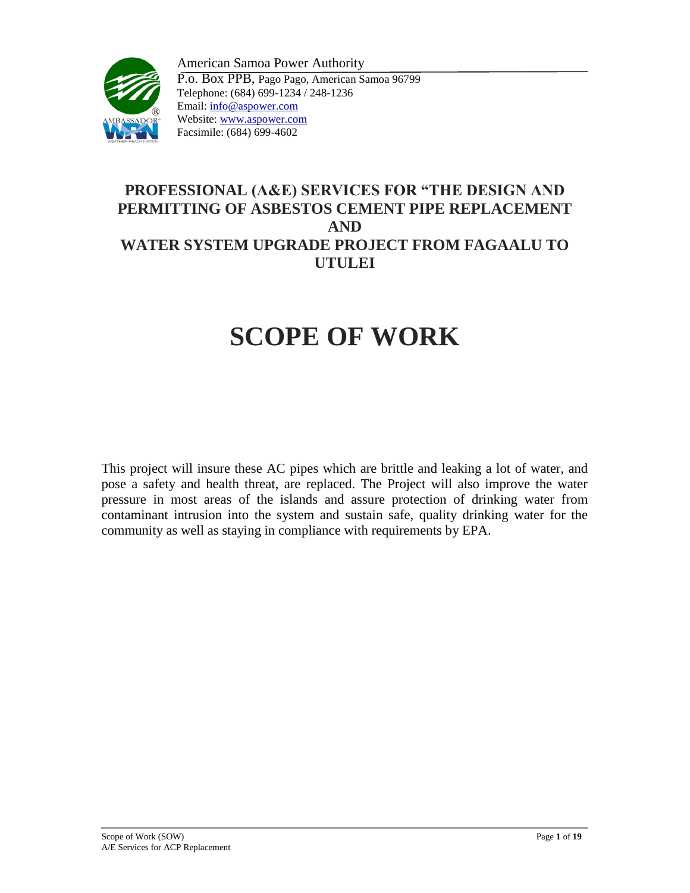

American Samoa Power Authority P.o. Box PPB, Pago Pago, American Samoa 96799 Telephone: (684) 699-1234 / 248-1236 Email: info@aspower.com Website: www.aspower.com Facsimile: (684) 699-4602

## **PROFESSIONAL (A&E) SERVICES FOR "THE DESIGN AND PERMITTING OF ASBESTOS CEMENT PIPE REPLACEMENT AND WATER SYSTEM UPGRADE PROJECT FROM FAGAALU TO UTULEI**

# **SCOPE OF WORK**

This project will insure these AC pipes which are brittle and leaking a lot of water, and pose a safety and health threat, are replaced. The Project will also improve the water pressure in most areas of the islands and assure protection of drinking water from contaminant intrusion into the system and sustain safe, quality drinking water for the community as well as staying in compliance with requirements by EPA.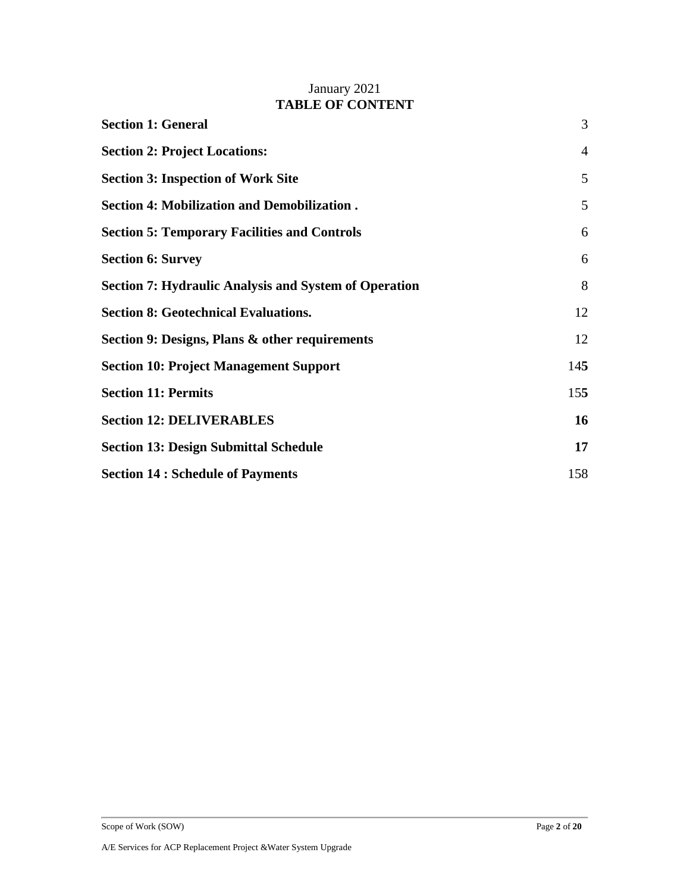## January 2021 **TABLE OF CONTENT**

| <b>Section 1: General</b>                                    | 3              |
|--------------------------------------------------------------|----------------|
| <b>Section 2: Project Locations:</b>                         | $\overline{4}$ |
| <b>Section 3: Inspection of Work Site</b>                    | 5              |
| <b>Section 4: Mobilization and Demobilization.</b>           | 5              |
| <b>Section 5: Temporary Facilities and Controls</b>          | 6              |
| <b>Section 6: Survey</b>                                     | 6              |
| <b>Section 7: Hydraulic Analysis and System of Operation</b> | 8              |
| <b>Section 8: Geotechnical Evaluations.</b>                  | 12             |
| Section 9: Designs, Plans & other requirements               | 12             |
| <b>Section 10: Project Management Support</b>                | 145            |
| <b>Section 11: Permits</b>                                   | 155            |
| <b>Section 12: DELIVERABLES</b>                              | 16             |
| <b>Section 13: Design Submittal Schedule</b>                 | 17             |
| <b>Section 14 : Schedule of Payments</b>                     | 158            |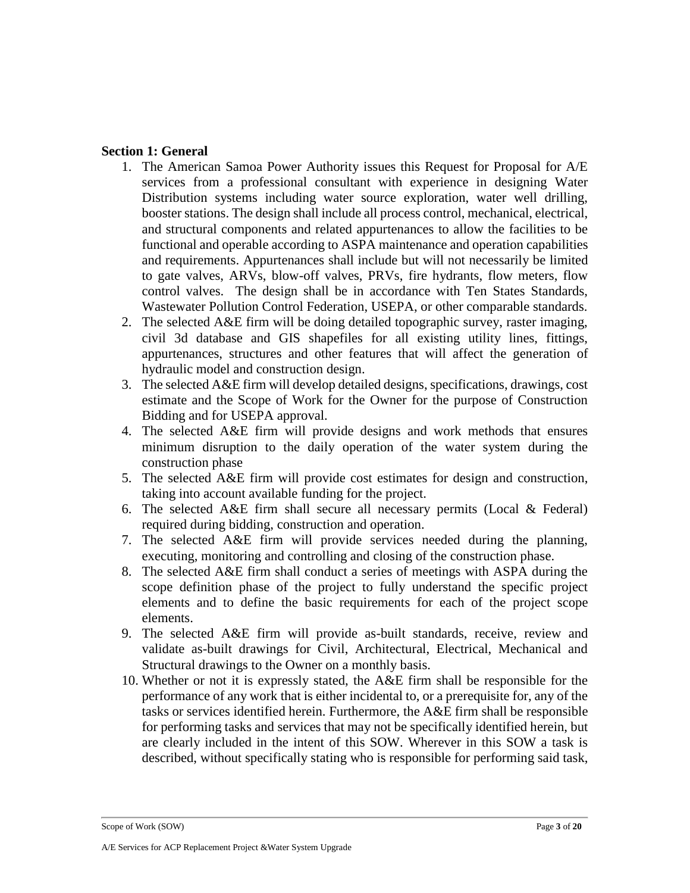## <span id="page-2-0"></span>**Section 1: General**

- 1. The American Samoa Power Authority issues this Request for Proposal for A/E services from a professional consultant with experience in designing Water Distribution systems including water source exploration, water well drilling, booster stations. The design shall include all process control, mechanical, electrical, and structural components and related appurtenances to allow the facilities to be functional and operable according to ASPA maintenance and operation capabilities and requirements. Appurtenances shall include but will not necessarily be limited to gate valves, ARVs, blow-off valves, PRVs, fire hydrants, flow meters, flow control valves. The design shall be in accordance with Ten States Standards, Wastewater Pollution Control Federation, USEPA, or other comparable standards.
- 2. The selected A&E firm will be doing detailed topographic survey, raster imaging, civil 3d database and GIS shapefiles for all existing utility lines, fittings, appurtenances, structures and other features that will affect the generation of hydraulic model and construction design.
- 3. The selected A&E firm will develop detailed designs, specifications, drawings, cost estimate and the Scope of Work for the Owner for the purpose of Construction Bidding and for USEPA approval.
- 4. The selected A&E firm will provide designs and work methods that ensures minimum disruption to the daily operation of the water system during the construction phase
- 5. The selected A&E firm will provide cost estimates for design and construction, taking into account available funding for the project.
- 6. The selected  $A \& E$  firm shall secure all necessary permits (Local  $\& Federal$ ) required during bidding, construction and operation.
- 7. The selected A&E firm will provide services needed during the planning, executing, monitoring and controlling and closing of the construction phase.
- 8. The selected A&E firm shall conduct a series of meetings with ASPA during the scope definition phase of the project to fully understand the specific project elements and to define the basic requirements for each of the project scope elements.
- 9. The selected A&E firm will provide as-built standards, receive, review and validate as-built drawings for Civil, Architectural, Electrical, Mechanical and Structural drawings to the Owner on a monthly basis.
- 10. Whether or not it is expressly stated, the A&E firm shall be responsible for the performance of any work that is either incidental to, or a prerequisite for, any of the tasks or services identified herein. Furthermore, the A&E firm shall be responsible for performing tasks and services that may not be specifically identified herein, but are clearly included in the intent of this SOW. Wherever in this SOW a task is described, without specifically stating who is responsible for performing said task,

Scope of Work (SOW) Page **3** of **20**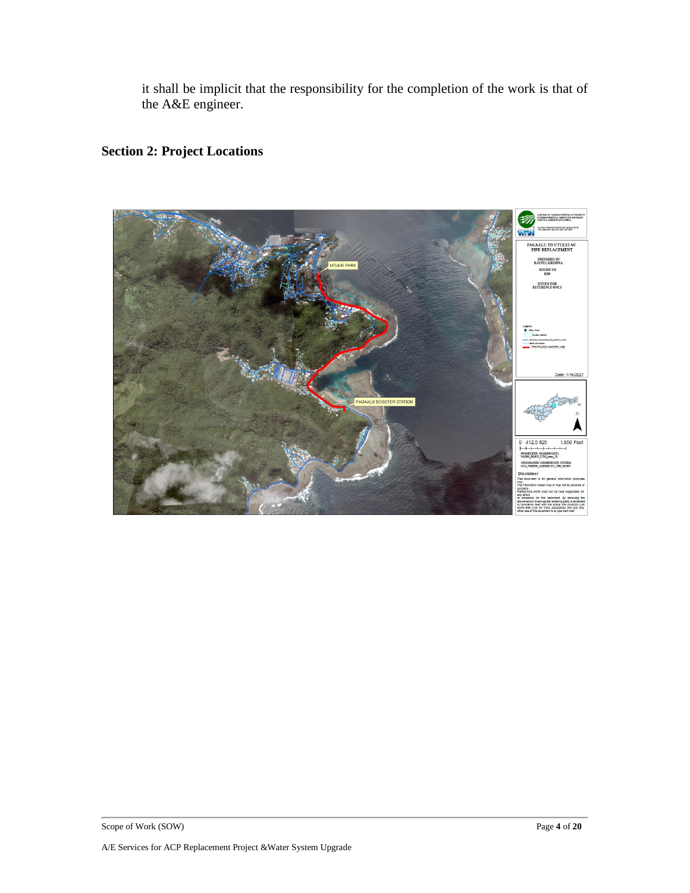it shall be implicit that the responsibility for the completion of the work is that of the A&E engineer.

# <span id="page-3-0"></span>**Section 2: Project Locations**

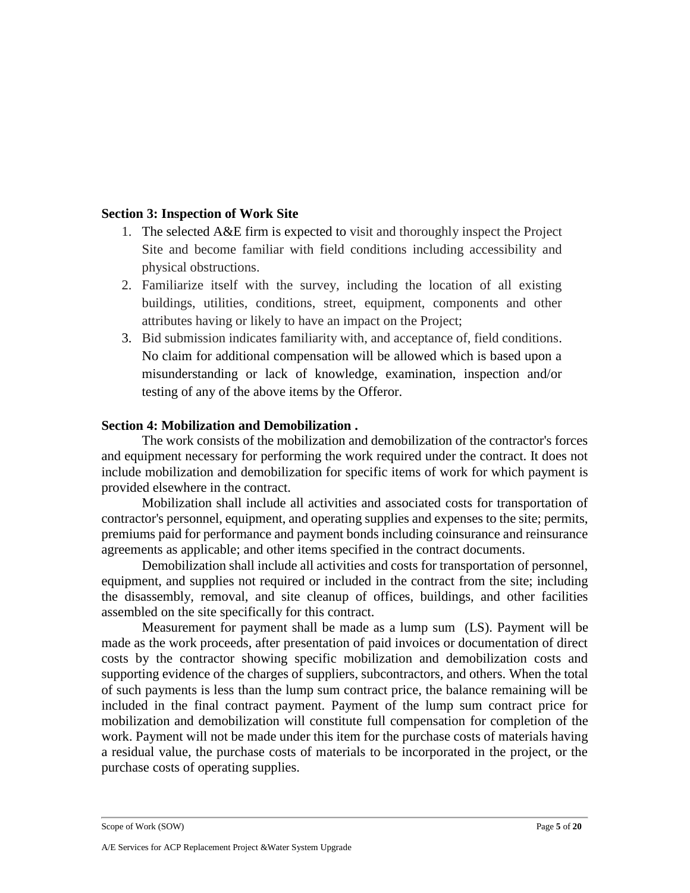## <span id="page-4-0"></span>**Section 3: Inspection of Work Site**

- 1. The selected A&E firm is expected to visit and thoroughly inspect the Project Site and become familiar with field conditions including accessibility and physical obstructions.
- 2. Familiarize itself with the survey, including the location of all existing buildings, utilities, conditions, street, equipment, components and other attributes having or likely to have an impact on the Project;
- 3. Bid submission indicates familiarity with, and acceptance of, field conditions. No claim for additional compensation will be allowed which is based upon a misunderstanding or lack of knowledge, examination, inspection and/or testing of any of the above items by the Offeror.

## <span id="page-4-1"></span>**Section 4: Mobilization and Demobilization .**

The work consists of the mobilization and demobilization of the contractor's forces and equipment necessary for performing the work required under the contract. It does not include mobilization and demobilization for specific items of work for which payment is provided elsewhere in the contract.

Mobilization shall include all activities and associated costs for transportation of contractor's personnel, equipment, and operating supplies and expenses to the site; permits, premiums paid for performance and payment bonds including coinsurance and reinsurance agreements as applicable; and other items specified in the contract documents.

Demobilization shall include all activities and costs for transportation of personnel, equipment, and supplies not required or included in the contract from the site; including the disassembly, removal, and site cleanup of offices, buildings, and other facilities assembled on the site specifically for this contract.

Measurement for payment shall be made as a lump sum (LS). Payment will be made as the work proceeds, after presentation of paid invoices or documentation of direct costs by the contractor showing specific mobilization and demobilization costs and supporting evidence of the charges of suppliers, subcontractors, and others. When the total of such payments is less than the lump sum contract price, the balance remaining will be included in the final contract payment. Payment of the lump sum contract price for mobilization and demobilization will constitute full compensation for completion of the work. Payment will not be made under this item for the purchase costs of materials having a residual value, the purchase costs of materials to be incorporated in the project, or the purchase costs of operating supplies.

Scope of Work (SOW) Page **5** of **20**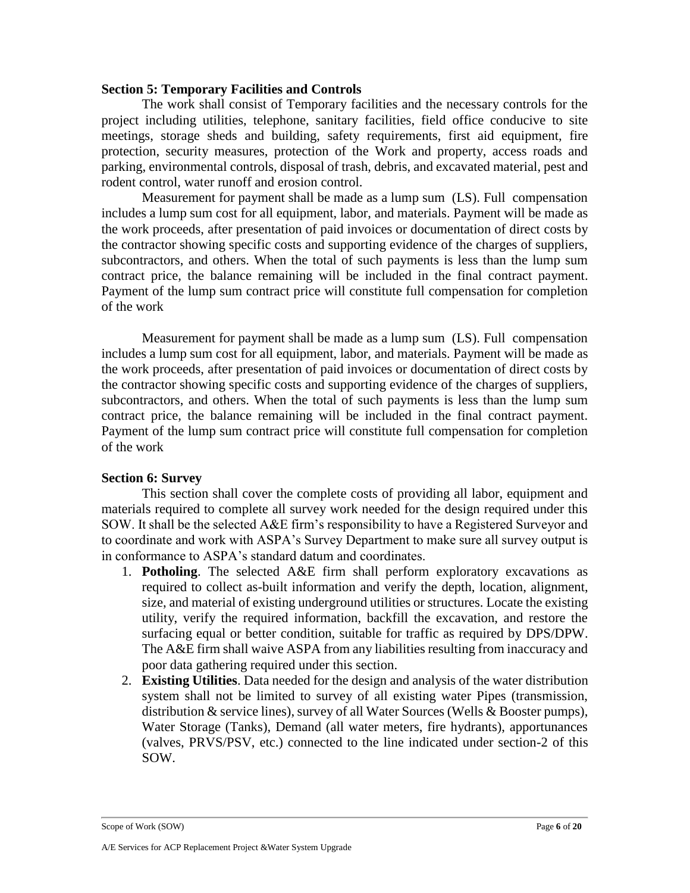#### <span id="page-5-0"></span>**Section 5: Temporary Facilities and Controls**

The work shall consist of Temporary facilities and the necessary controls for the project including utilities, telephone, sanitary facilities, field office conducive to site meetings, storage sheds and building, safety requirements, first aid equipment, fire protection, security measures, protection of the Work and property, access roads and parking, environmental controls, disposal of trash, debris, and excavated material, pest and rodent control, water runoff and erosion control.

Measurement for payment shall be made as a lump sum (LS). Full compensation includes a lump sum cost for all equipment, labor, and materials. Payment will be made as the work proceeds, after presentation of paid invoices or documentation of direct costs by the contractor showing specific costs and supporting evidence of the charges of suppliers, subcontractors, and others. When the total of such payments is less than the lump sum contract price, the balance remaining will be included in the final contract payment. Payment of the lump sum contract price will constitute full compensation for completion of the work

Measurement for payment shall be made as a lump sum (LS). Full compensation includes a lump sum cost for all equipment, labor, and materials. Payment will be made as the work proceeds, after presentation of paid invoices or documentation of direct costs by the contractor showing specific costs and supporting evidence of the charges of suppliers, subcontractors, and others. When the total of such payments is less than the lump sum contract price, the balance remaining will be included in the final contract payment. Payment of the lump sum contract price will constitute full compensation for completion of the work

#### <span id="page-5-1"></span>**Section 6: Survey**

This section shall cover the complete costs of providing all labor, equipment and materials required to complete all survey work needed for the design required under this SOW. It shall be the selected A&E firm's responsibility to have a Registered Surveyor and to coordinate and work with ASPA's Survey Department to make sure all survey output is in conformance to ASPA's standard datum and coordinates.

- 1. **Potholing**. The selected A&E firm shall perform exploratory excavations as required to collect as-built information and verify the depth, location, alignment, size, and material of existing underground utilities or structures. Locate the existing utility, verify the required information, backfill the excavation, and restore the surfacing equal or better condition, suitable for traffic as required by DPS/DPW. The A&E firm shall waive ASPA from any liabilities resulting from inaccuracy and poor data gathering required under this section.
- 2. **Existing Utilities**. Data needed for the design and analysis of the water distribution system shall not be limited to survey of all existing water Pipes (transmission, distribution & service lines), survey of all Water Sources (Wells & Booster pumps), Water Storage (Tanks), Demand (all water meters, fire hydrants), apportunances (valves, PRVS/PSV, etc.) connected to the line indicated under section-2 of this SOW.

Scope of Work (SOW) Page 6 of 20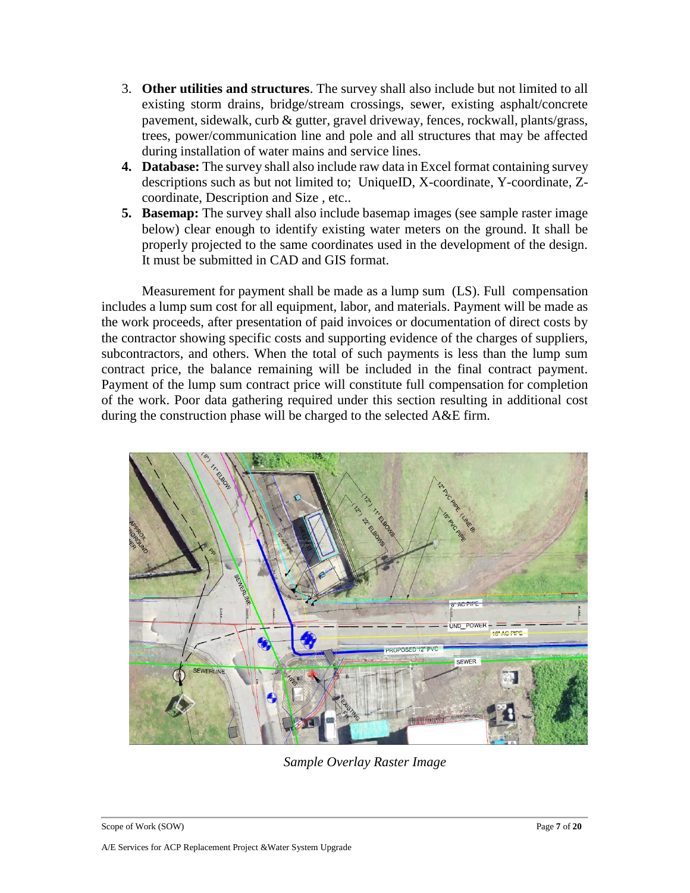- 3. **Other utilities and structures**. The survey shall also include but not limited to all existing storm drains, bridge/stream crossings, sewer, existing asphalt/concrete pavement, sidewalk, curb & gutter, gravel driveway, fences, rockwall, plants/grass, trees, power/communication line and pole and all structures that may be affected during installation of water mains and service lines.
- **4. Database:** The survey shall also include raw data in Excel format containing survey descriptions such as but not limited to; UniqueID, X-coordinate, Y-coordinate, Zcoordinate, Description and Size , etc..
- **5. Basemap:** The survey shall also include basemap images (see sample raster image below) clear enough to identify existing water meters on the ground. It shall be properly projected to the same coordinates used in the development of the design. It must be submitted in CAD and GIS format.

Measurement for payment shall be made as a lump sum (LS). Full compensation includes a lump sum cost for all equipment, labor, and materials. Payment will be made as the work proceeds, after presentation of paid invoices or documentation of direct costs by the contractor showing specific costs and supporting evidence of the charges of suppliers, subcontractors, and others. When the total of such payments is less than the lump sum contract price, the balance remaining will be included in the final contract payment. Payment of the lump sum contract price will constitute full compensation for completion of the work. Poor data gathering required under this section resulting in additional cost during the construction phase will be charged to the selected A&E firm.



*Sample Overlay Raster Image*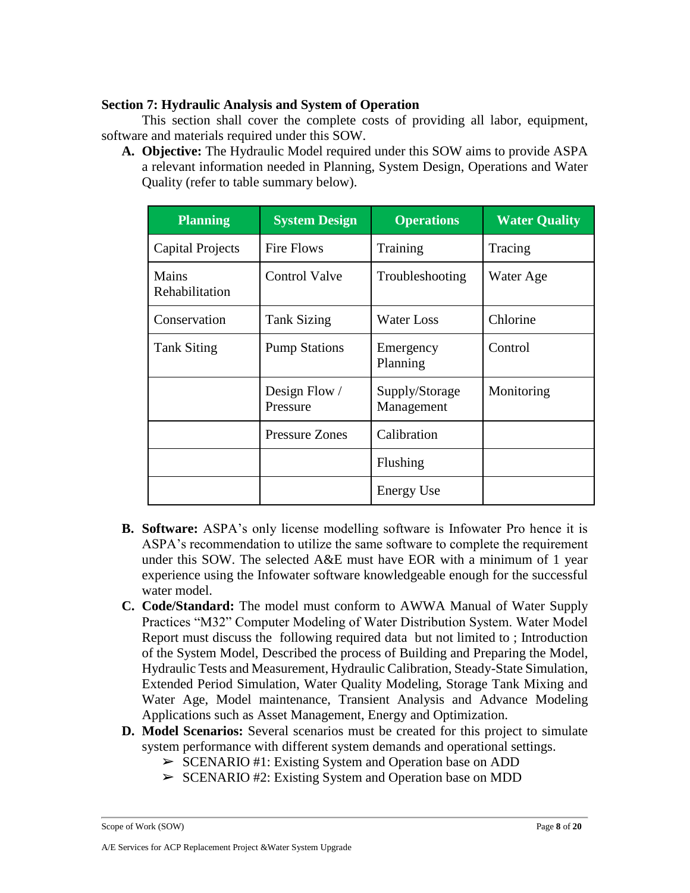## <span id="page-7-0"></span>**Section 7: Hydraulic Analysis and System of Operation**

This section shall cover the complete costs of providing all labor, equipment, software and materials required under this SOW.

**A. Objective:** The Hydraulic Model required under this SOW aims to provide ASPA a relevant information needed in Planning, System Design, Operations and Water Quality (refer to table summary below).

| <b>Planning</b>         | <b>System Design</b>      | <b>Operations</b>            | <b>Water Quality</b> |
|-------------------------|---------------------------|------------------------------|----------------------|
| <b>Capital Projects</b> | <b>Fire Flows</b>         | Training                     | Tracing              |
| Mains<br>Rehabilitation | <b>Control Valve</b>      | Troubleshooting              | Water Age            |
| Conservation            | <b>Tank Sizing</b>        | <b>Water Loss</b>            | Chlorine             |
| <b>Tank Siting</b>      | <b>Pump Stations</b>      | Emergency<br>Planning        | Control              |
|                         | Design Flow /<br>Pressure | Supply/Storage<br>Management | Monitoring           |
|                         | <b>Pressure Zones</b>     | Calibration                  |                      |
|                         |                           | Flushing                     |                      |
|                         |                           | <b>Energy Use</b>            |                      |

- **B. Software:** ASPA's only license modelling software is Infowater Pro hence it is ASPA's recommendation to utilize the same software to complete the requirement under this SOW. The selected A&E must have EOR with a minimum of 1 year experience using the Infowater software knowledgeable enough for the successful water model.
- **C. Code/Standard:** The model must conform to AWWA Manual of Water Supply Practices "M32" Computer Modeling of Water Distribution System. Water Model Report must discuss the following required data but not limited to ; Introduction of the System Model, Described the process of Building and Preparing the Model, Hydraulic Tests and Measurement, Hydraulic Calibration, Steady-State Simulation, Extended Period Simulation, Water Quality Modeling, Storage Tank Mixing and Water Age, Model maintenance, Transient Analysis and Advance Modeling Applications such as Asset Management, Energy and Optimization.
- **D. Model Scenarios:** Several scenarios must be created for this project to simulate system performance with different system demands and operational settings.
	- ➢ SCENARIO #1: Existing System and Operation base on ADD
	- ➢ SCENARIO #2: Existing System and Operation base on MDD

Scope of Work (SOW) Page **8** of **20**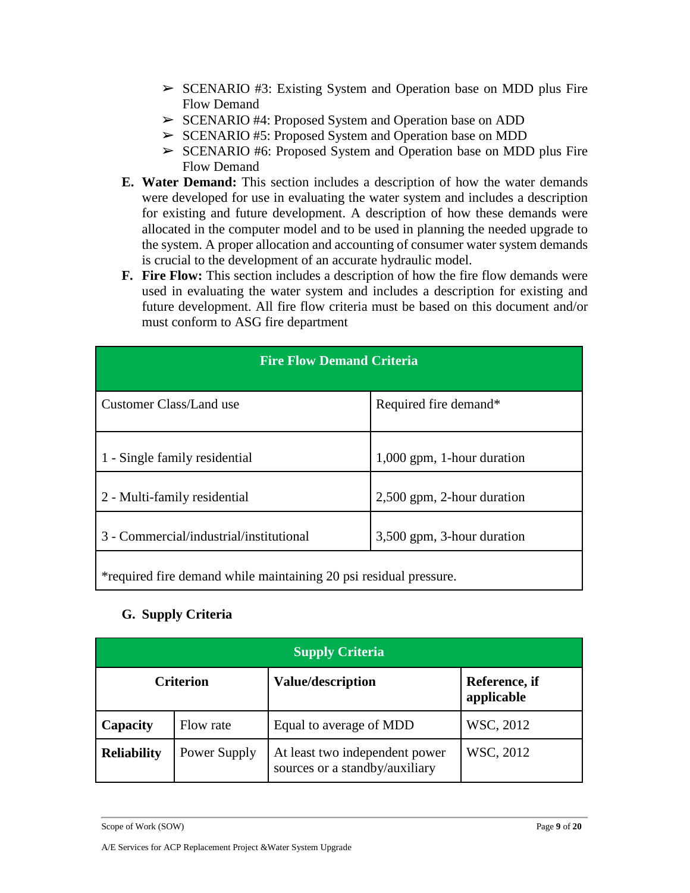- $\triangleright$  SCENARIO #3: Existing System and Operation base on MDD plus Fire Flow Demand
- ➢ SCENARIO #4: Proposed System and Operation base on ADD
- ➢ SCENARIO #5: Proposed System and Operation base on MDD
- ➢ SCENARIO #6: Proposed System and Operation base on MDD plus Fire Flow Demand
- **E. Water Demand:** This section includes a description of how the water demands were developed for use in evaluating the water system and includes a description for existing and future development. A description of how these demands were allocated in the computer model and to be used in planning the needed upgrade to the system. A proper allocation and accounting of consumer water system demands is crucial to the development of an accurate hydraulic model.
- **F. Fire Flow:** This section includes a description of how the fire flow demands were used in evaluating the water system and includes a description for existing and future development. All fire flow criteria must be based on this document and/or must conform to ASG fire department

| <b>Fire Flow Demand Criteria</b>        |                              |  |  |
|-----------------------------------------|------------------------------|--|--|
| Customer Class/Land use                 | Required fire demand*        |  |  |
| 1 - Single family residential           | $1,000$ gpm, 1-hour duration |  |  |
| 2 - Multi-family residential            | 2,500 gpm, 2-hour duration   |  |  |
| 3 - Commercial/industrial/institutional | 3,500 gpm, 3-hour duration   |  |  |
|                                         |                              |  |  |

\*required fire demand while maintaining 20 psi residual pressure.

## **G. Supply Criteria**

| <b>Supply Criteria</b> |                  |                                                                  |                             |
|------------------------|------------------|------------------------------------------------------------------|-----------------------------|
|                        | <b>Criterion</b> | <b>Value/description</b>                                         | Reference, if<br>applicable |
| Capacity               | Flow rate        | Equal to average of MDD                                          | WSC, 2012                   |
| <b>Reliability</b>     | Power Supply     | At least two independent power<br>sources or a standby/auxiliary | WSC, 2012                   |

Scope of Work (SOW) Page **9** of **20**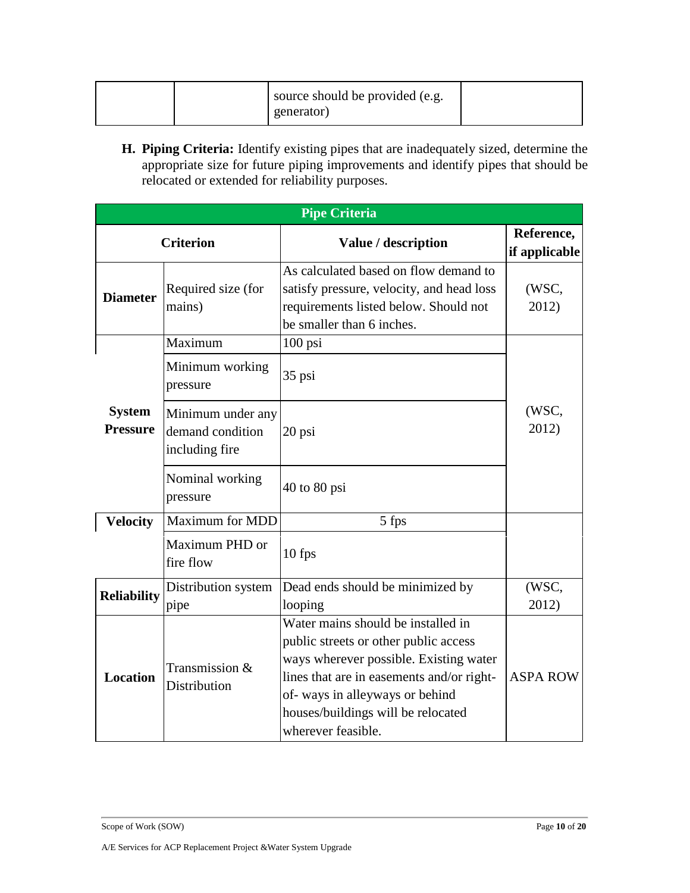|  |  | source should be provided (e.g.<br>generator) |  |
|--|--|-----------------------------------------------|--|
|--|--|-----------------------------------------------|--|

**H. Piping Criteria:** Identify existing pipes that are inadequately sized, determine the appropriate size for future piping improvements and identify pipes that should be relocated or extended for reliability purposes.

| <b>Pipe Criteria</b>             |                                                         |                                                                                                                                                                                                                                                                  |                             |
|----------------------------------|---------------------------------------------------------|------------------------------------------------------------------------------------------------------------------------------------------------------------------------------------------------------------------------------------------------------------------|-----------------------------|
|                                  | <b>Criterion</b>                                        | Value / description                                                                                                                                                                                                                                              | Reference,<br>if applicable |
| <b>Diameter</b>                  | Required size (for<br>mains)                            | As calculated based on flow demand to<br>satisfy pressure, velocity, and head loss<br>requirements listed below. Should not<br>be smaller than 6 inches.                                                                                                         | (WSC,<br>2012)              |
|                                  | Maximum                                                 | $100$ psi                                                                                                                                                                                                                                                        |                             |
|                                  | Minimum working<br>pressure                             | 35 psi                                                                                                                                                                                                                                                           |                             |
| <b>System</b><br><b>Pressure</b> | Minimum under any<br>demand condition<br>including fire | 20 psi                                                                                                                                                                                                                                                           | (WSC,<br>2012)              |
|                                  | Nominal working<br>pressure                             | $40$ to $80$ psi                                                                                                                                                                                                                                                 |                             |
| <b>Velocity</b>                  | <b>Maximum for MDD</b>                                  | 5 fps                                                                                                                                                                                                                                                            |                             |
|                                  | Maximum PHD or<br>fire flow                             | $10$ fps                                                                                                                                                                                                                                                         |                             |
| <b>Reliability</b>               | Distribution system                                     | Dead ends should be minimized by                                                                                                                                                                                                                                 | (WSC,                       |
|                                  | pipe                                                    | looping                                                                                                                                                                                                                                                          | 2012)                       |
| <b>Location</b>                  | Transmission &<br>Distribution                          | Water mains should be installed in<br>public streets or other public access<br>ways wherever possible. Existing water<br>lines that are in easements and/or right-<br>of-ways in alleyways or behind<br>houses/buildings will be relocated<br>wherever feasible. | <b>ASPA ROW</b>             |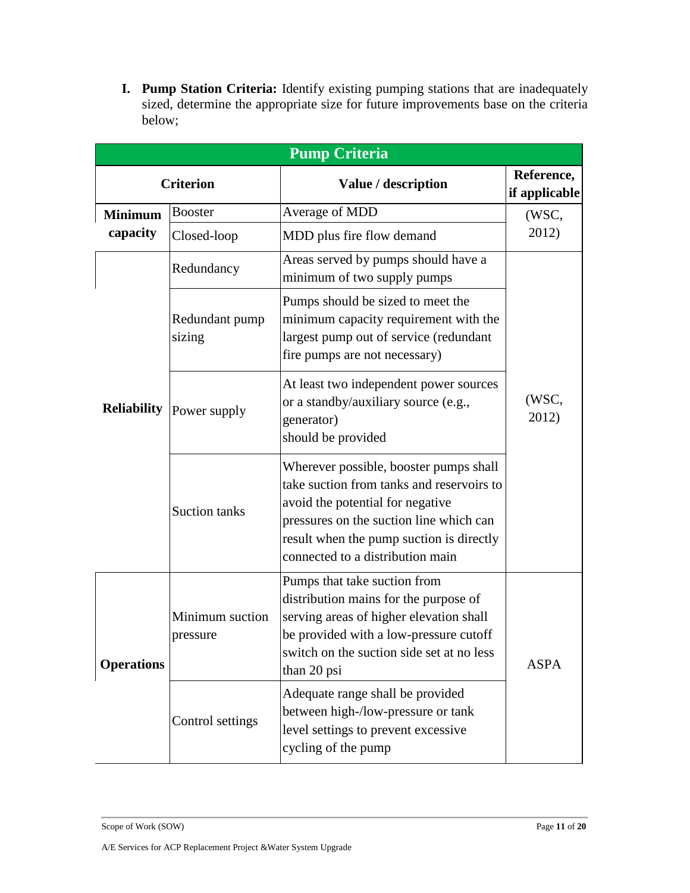**I. Pump Station Criteria:** Identify existing pumping stations that are inadequately sized, determine the appropriate size for future improvements base on the criteria below;

| <b>Pump Criteria</b> |                             |                                                                                                                                                                                                                                                    |                             |
|----------------------|-----------------------------|----------------------------------------------------------------------------------------------------------------------------------------------------------------------------------------------------------------------------------------------------|-----------------------------|
|                      | <b>Criterion</b>            | Value / description                                                                                                                                                                                                                                | Reference,<br>if applicable |
| <b>Minimum</b>       | <b>Booster</b>              | Average of MDD                                                                                                                                                                                                                                     | (WSC,                       |
| capacity             | Closed-loop                 | MDD plus fire flow demand                                                                                                                                                                                                                          | 2012)                       |
|                      | Redundancy                  | Areas served by pumps should have a<br>minimum of two supply pumps                                                                                                                                                                                 |                             |
| <b>Reliability</b>   | Redundant pump<br>sizing    | Pumps should be sized to meet the<br>minimum capacity requirement with the<br>largest pump out of service (redundant<br>fire pumps are not necessary)                                                                                              | (WSC,<br>2012)              |
|                      | Power supply                | At least two independent power sources<br>or a standby/auxiliary source (e.g.,<br>generator)<br>should be provided                                                                                                                                 |                             |
|                      | <b>Suction tanks</b>        | Wherever possible, booster pumps shall<br>take suction from tanks and reservoirs to<br>avoid the potential for negative<br>pressures on the suction line which can<br>result when the pump suction is directly<br>connected to a distribution main |                             |
| <b>Operations</b>    | Minimum suction<br>pressure | Pumps that take suction from<br>distribution mains for the purpose of<br>serving areas of higher elevation shall<br>be provided with a low-pressure cutoff<br>switch on the suction side set at no less<br>than 20 psi                             | <b>ASPA</b>                 |
|                      | Control settings            | Adequate range shall be provided<br>between high-/low-pressure or tank<br>level settings to prevent excessive<br>cycling of the pump                                                                                                               |                             |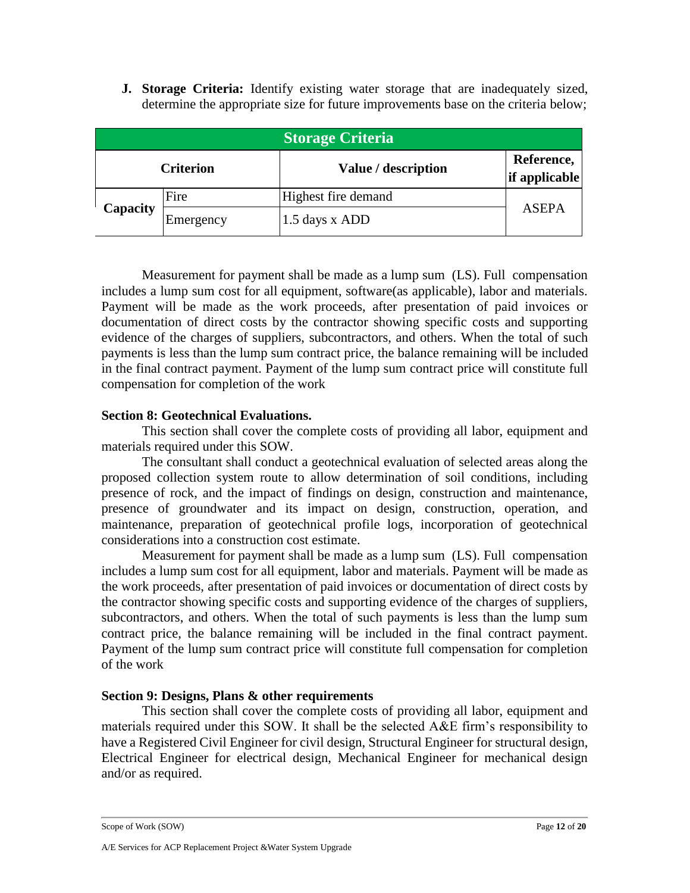**J. Storage Criteria:** Identify existing water storage that are inadequately sized, determine the appropriate size for future improvements base on the criteria below;

| <b>Storage Criteria</b>                                                |           |                     |       |
|------------------------------------------------------------------------|-----------|---------------------|-------|
| Reference,<br>Value / description<br><b>Criterion</b><br>if applicable |           |                     |       |
|                                                                        | Fire      | Highest fire demand |       |
| Capacity                                                               | Emergency | 1.5 days x ADD      | ASEPA |

Measurement for payment shall be made as a lump sum (LS). Full compensation includes a lump sum cost for all equipment, software(as applicable), labor and materials. Payment will be made as the work proceeds, after presentation of paid invoices or documentation of direct costs by the contractor showing specific costs and supporting evidence of the charges of suppliers, subcontractors, and others. When the total of such payments is less than the lump sum contract price, the balance remaining will be included in the final contract payment. Payment of the lump sum contract price will constitute full compensation for completion of the work

## <span id="page-11-0"></span>**Section 8: Geotechnical Evaluations.**

This section shall cover the complete costs of providing all labor, equipment and materials required under this SOW.

The consultant shall conduct a geotechnical evaluation of selected areas along the proposed collection system route to allow determination of soil conditions, including presence of rock, and the impact of findings on design, construction and maintenance, presence of groundwater and its impact on design, construction, operation, and maintenance, preparation of geotechnical profile logs, incorporation of geotechnical considerations into a construction cost estimate.

Measurement for payment shall be made as a lump sum (LS). Full compensation includes a lump sum cost for all equipment, labor and materials. Payment will be made as the work proceeds, after presentation of paid invoices or documentation of direct costs by the contractor showing specific costs and supporting evidence of the charges of suppliers, subcontractors, and others. When the total of such payments is less than the lump sum contract price, the balance remaining will be included in the final contract payment. Payment of the lump sum contract price will constitute full compensation for completion of the work

## <span id="page-11-1"></span>**Section 9: Designs, Plans & other requirements**

This section shall cover the complete costs of providing all labor, equipment and materials required under this SOW. It shall be the selected A&E firm's responsibility to have a Registered Civil Engineer for civil design, Structural Engineer for structural design, Electrical Engineer for electrical design, Mechanical Engineer for mechanical design and/or as required.

Scope of Work (SOW) Page 12 of 20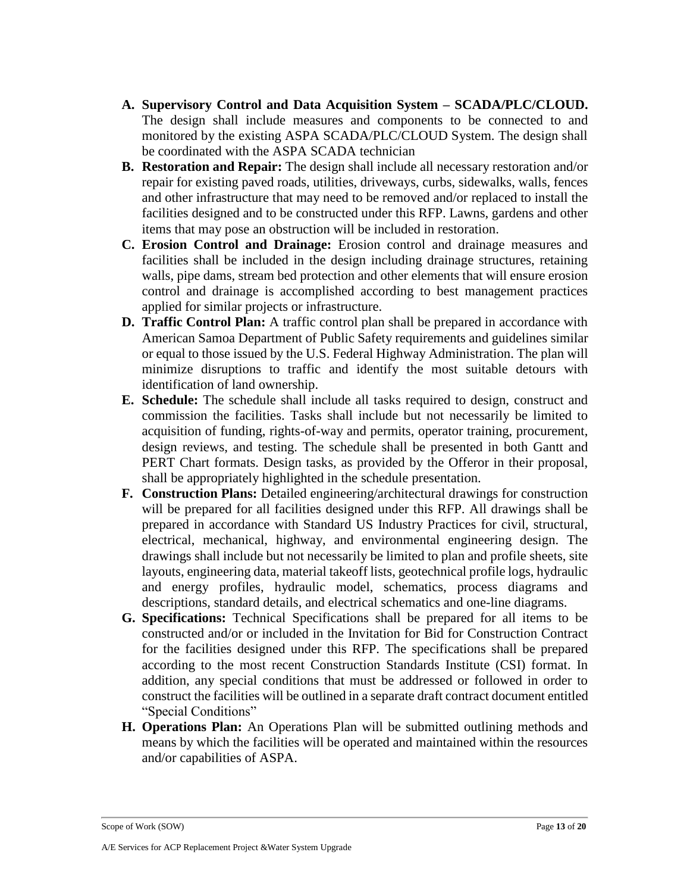- **A. Supervisory Control and Data Acquisition System – SCADA/PLC/CLOUD.**  The design shall include measures and components to be connected to and monitored by the existing ASPA SCADA/PLC/CLOUD System. The design shall be coordinated with the ASPA SCADA technician
- **B. Restoration and Repair:** The design shall include all necessary restoration and/or repair for existing paved roads, utilities, driveways, curbs, sidewalks, walls, fences and other infrastructure that may need to be removed and/or replaced to install the facilities designed and to be constructed under this RFP. Lawns, gardens and other items that may pose an obstruction will be included in restoration.
- **C. Erosion Control and Drainage:** Erosion control and drainage measures and facilities shall be included in the design including drainage structures, retaining walls, pipe dams, stream bed protection and other elements that will ensure erosion control and drainage is accomplished according to best management practices applied for similar projects or infrastructure.
- **D. Traffic Control Plan:** A traffic control plan shall be prepared in accordance with American Samoa Department of Public Safety requirements and guidelines similar or equal to those issued by the U.S. Federal Highway Administration. The plan will minimize disruptions to traffic and identify the most suitable detours with identification of land ownership.
- **E. Schedule:** The schedule shall include all tasks required to design, construct and commission the facilities. Tasks shall include but not necessarily be limited to acquisition of funding, rights-of-way and permits, operator training, procurement, design reviews, and testing. The schedule shall be presented in both Gantt and PERT Chart formats. Design tasks, as provided by the Offeror in their proposal, shall be appropriately highlighted in the schedule presentation.
- **F. Construction Plans:** Detailed engineering/architectural drawings for construction will be prepared for all facilities designed under this RFP. All drawings shall be prepared in accordance with Standard US Industry Practices for civil, structural, electrical, mechanical, highway, and environmental engineering design. The drawings shall include but not necessarily be limited to plan and profile sheets, site layouts, engineering data, material takeoff lists, geotechnical profile logs, hydraulic and energy profiles, hydraulic model, schematics, process diagrams and descriptions, standard details, and electrical schematics and one-line diagrams.
- **G. Specifications:** Technical Specifications shall be prepared for all items to be constructed and/or or included in the Invitation for Bid for Construction Contract for the facilities designed under this RFP. The specifications shall be prepared according to the most recent Construction Standards Institute (CSI) format. In addition, any special conditions that must be addressed or followed in order to construct the facilities will be outlined in a separate draft contract document entitled "Special Conditions"
- **H. Operations Plan:** An Operations Plan will be submitted outlining methods and means by which the facilities will be operated and maintained within the resources and/or capabilities of ASPA.

Scope of Work (SOW) Page 13 of 20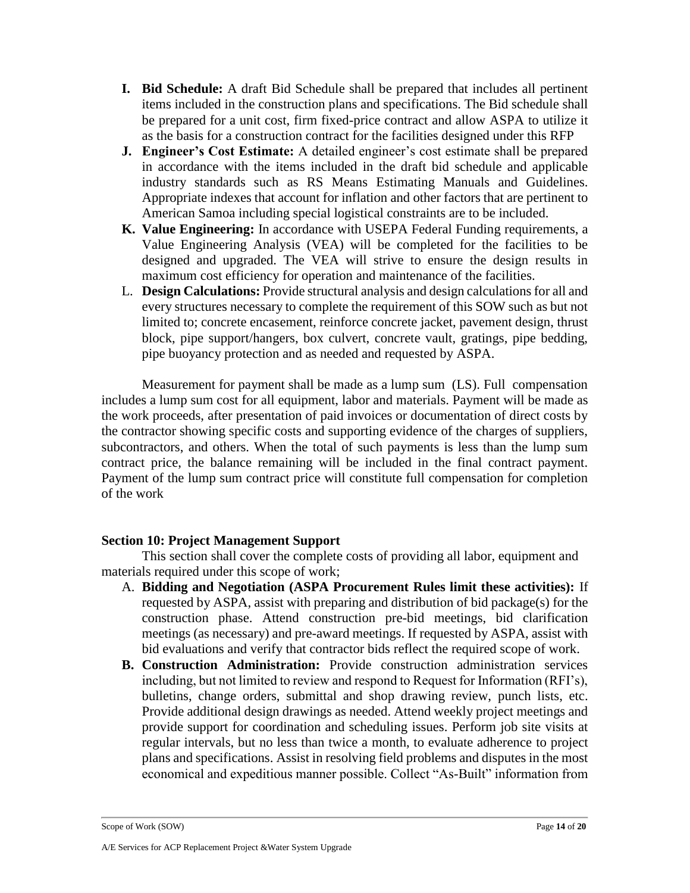- **I. Bid Schedule:** A draft Bid Schedule shall be prepared that includes all pertinent items included in the construction plans and specifications. The Bid schedule shall be prepared for a unit cost, firm fixed-price contract and allow ASPA to utilize it as the basis for a construction contract for the facilities designed under this RFP
- **J. Engineer's Cost Estimate:** A detailed engineer's cost estimate shall be prepared in accordance with the items included in the draft bid schedule and applicable industry standards such as RS Means Estimating Manuals and Guidelines. Appropriate indexes that account for inflation and other factors that are pertinent to American Samoa including special logistical constraints are to be included.
- **K. Value Engineering:** In accordance with USEPA Federal Funding requirements, a Value Engineering Analysis (VEA) will be completed for the facilities to be designed and upgraded. The VEA will strive to ensure the design results in maximum cost efficiency for operation and maintenance of the facilities.
- L. **Design Calculations:** Provide structural analysis and design calculations for all and every structures necessary to complete the requirement of this SOW such as but not limited to; concrete encasement, reinforce concrete jacket, pavement design, thrust block, pipe support/hangers, box culvert, concrete vault, gratings, pipe bedding, pipe buoyancy protection and as needed and requested by ASPA.

Measurement for payment shall be made as a lump sum (LS). Full compensation includes a lump sum cost for all equipment, labor and materials. Payment will be made as the work proceeds, after presentation of paid invoices or documentation of direct costs by the contractor showing specific costs and supporting evidence of the charges of suppliers, subcontractors, and others. When the total of such payments is less than the lump sum contract price, the balance remaining will be included in the final contract payment. Payment of the lump sum contract price will constitute full compensation for completion of the work

## <span id="page-13-0"></span>**Section 10: Project Management Support**

This section shall cover the complete costs of providing all labor, equipment and materials required under this scope of work;

- A. **Bidding and Negotiation (ASPA Procurement Rules limit these activities):** If requested by ASPA, assist with preparing and distribution of bid package(s) for the construction phase. Attend construction pre-bid meetings, bid clarification meetings (as necessary) and pre-award meetings. If requested by ASPA, assist with bid evaluations and verify that contractor bids reflect the required scope of work.
- **B. Construction Administration:** Provide construction administration services including, but not limited to review and respond to Request for Information (RFI's), bulletins, change orders, submittal and shop drawing review, punch lists, etc. Provide additional design drawings as needed. Attend weekly project meetings and provide support for coordination and scheduling issues. Perform job site visits at regular intervals, but no less than twice a month, to evaluate adherence to project plans and specifications. Assist in resolving field problems and disputes in the most economical and expeditious manner possible. Collect "As-Built" information from

Scope of Work (SOW) Page 14 of 20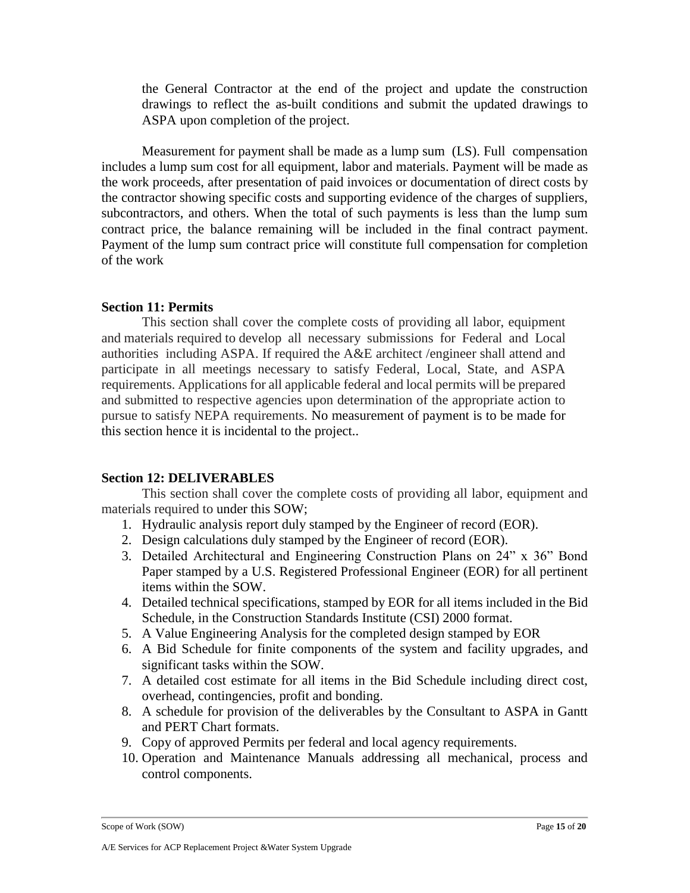the General Contractor at the end of the project and update the construction drawings to reflect the as-built conditions and submit the updated drawings to ASPA upon completion of the project.

Measurement for payment shall be made as a lump sum (LS). Full compensation includes a lump sum cost for all equipment, labor and materials. Payment will be made as the work proceeds, after presentation of paid invoices or documentation of direct costs by the contractor showing specific costs and supporting evidence of the charges of suppliers, subcontractors, and others. When the total of such payments is less than the lump sum contract price, the balance remaining will be included in the final contract payment. Payment of the lump sum contract price will constitute full compensation for completion of the work

#### <span id="page-14-0"></span>**Section 11: Permits**

This section shall cover the complete costs of providing all labor, equipment and materials required to develop all necessary submissions for Federal and Local authorities including ASPA. If required the A&E architect /engineer shall attend and participate in all meetings necessary to satisfy Federal, Local, State, and ASPA requirements. Applications for all applicable federal and local permits will be prepared and submitted to respective agencies upon determination of the appropriate action to pursue to satisfy NEPA requirements. No measurement of payment is to be made for this section hence it is incidental to the project..

## <span id="page-14-1"></span>**Section 12: DELIVERABLES**

This section shall cover the complete costs of providing all labor, equipment and materials required to under this SOW;

- 1. Hydraulic analysis report duly stamped by the Engineer of record (EOR).
- 2. Design calculations duly stamped by the Engineer of record (EOR).
- 3. Detailed Architectural and Engineering Construction Plans on 24" x 36" Bond Paper stamped by a U.S. Registered Professional Engineer (EOR) for all pertinent items within the SOW.
- 4. Detailed technical specifications, stamped by EOR for all items included in the Bid Schedule, in the Construction Standards Institute (CSI) 2000 format.
- 5. A Value Engineering Analysis for the completed design stamped by EOR
- 6. A Bid Schedule for finite components of the system and facility upgrades, and significant tasks within the SOW.
- 7. A detailed cost estimate for all items in the Bid Schedule including direct cost, overhead, contingencies, profit and bonding.
- 8. A schedule for provision of the deliverables by the Consultant to ASPA in Gantt and PERT Chart formats.
- 9. Copy of approved Permits per federal and local agency requirements.
- 10. Operation and Maintenance Manuals addressing all mechanical, process and control components.

```
Scope of Work (SOW) Page 15 of 20
```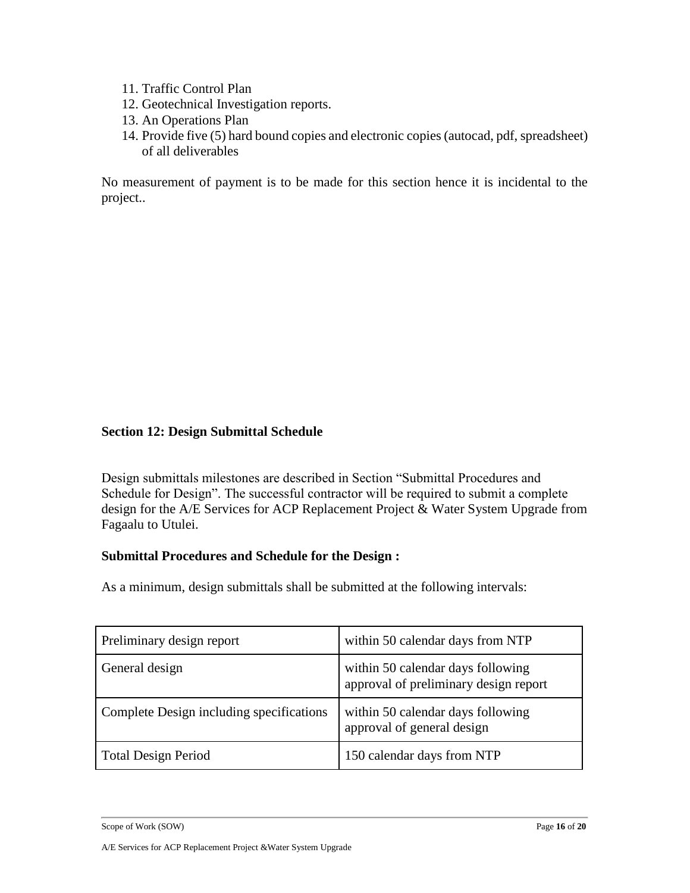- 11. Traffic Control Plan
- 12. Geotechnical Investigation reports.
- 13. An Operations Plan
- 14. Provide five (5) hard bound copies and electronic copies (autocad, pdf, spreadsheet) of all deliverables

No measurement of payment is to be made for this section hence it is incidental to the project..

#### **Section 12: Design Submittal Schedule**

Design submittals milestones are described in Section "Submittal Procedures and Schedule for Design". The successful contractor will be required to submit a complete design for the A/E Services for ACP Replacement Project & Water System Upgrade from Fagaalu to Utulei.

#### **Submittal Procedures and Schedule for the Design :**

As a minimum, design submittals shall be submitted at the following intervals:

| Preliminary design report                | within 50 calendar days from NTP                                           |
|------------------------------------------|----------------------------------------------------------------------------|
| General design                           | within 50 calendar days following<br>approval of preliminary design report |
| Complete Design including specifications | within 50 calendar days following<br>approval of general design            |
| <b>Total Design Period</b>               | 150 calendar days from NTP                                                 |

Scope of Work (SOW) Page 16 of 20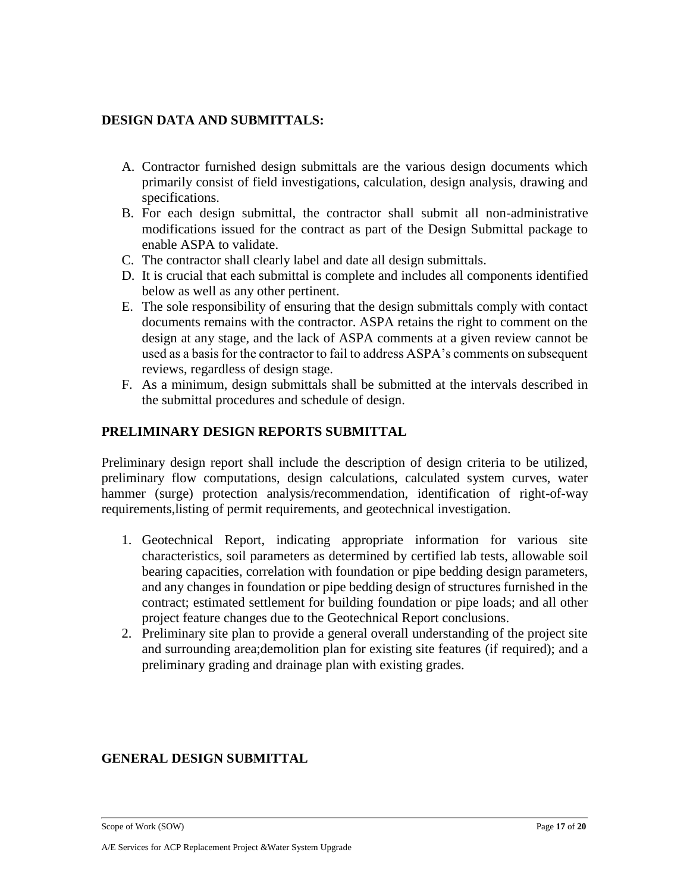## **DESIGN DATA AND SUBMITTALS:**

- A. Contractor furnished design submittals are the various design documents which primarily consist of field investigations, calculation, design analysis, drawing and specifications.
- B. For each design submittal, the contractor shall submit all non-administrative modifications issued for the contract as part of the Design Submittal package to enable ASPA to validate.
- C. The contractor shall clearly label and date all design submittals.
- D. It is crucial that each submittal is complete and includes all components identified below as well as any other pertinent.
- E. The sole responsibility of ensuring that the design submittals comply with contact documents remains with the contractor. ASPA retains the right to comment on the design at any stage, and the lack of ASPA comments at a given review cannot be used as a basis for the contractor to fail to address ASPA's comments on subsequent reviews, regardless of design stage.
- F. As a minimum, design submittals shall be submitted at the intervals described in the submittal procedures and schedule of design.

## **PRELIMINARY DESIGN REPORTS SUBMITTAL**

Preliminary design report shall include the description of design criteria to be utilized, preliminary flow computations, design calculations, calculated system curves, water hammer (surge) protection analysis/recommendation, identification of right-of-way requirements,listing of permit requirements, and geotechnical investigation.

- 1. Geotechnical Report, indicating appropriate information for various site characteristics, soil parameters as determined by certified lab tests, allowable soil bearing capacities, correlation with foundation or pipe bedding design parameters, and any changes in foundation or pipe bedding design of structures furnished in the contract; estimated settlement for building foundation or pipe loads; and all other project feature changes due to the Geotechnical Report conclusions.
- 2. Preliminary site plan to provide a general overall understanding of the project site and surrounding area;demolition plan for existing site features (if required); and a preliminary grading and drainage plan with existing grades.

## **GENERAL DESIGN SUBMITTAL**

Scope of Work (SOW) Page 17 of 20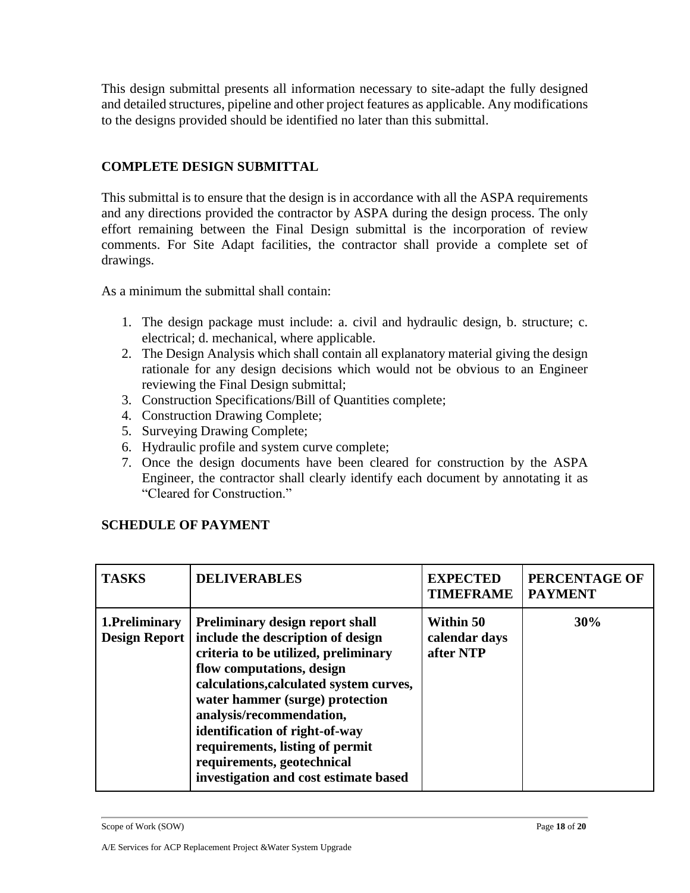This design submittal presents all information necessary to site-adapt the fully designed and detailed structures, pipeline and other project features as applicable. Any modifications to the designs provided should be identified no later than this submittal.

## **COMPLETE DESIGN SUBMITTAL**

This submittal is to ensure that the design is in accordance with all the ASPA requirements and any directions provided the contractor by ASPA during the design process. The only effort remaining between the Final Design submittal is the incorporation of review comments. For Site Adapt facilities, the contractor shall provide a complete set of drawings.

As a minimum the submittal shall contain:

- 1. The design package must include: a. civil and hydraulic design, b. structure; c. electrical; d. mechanical, where applicable.
- 2. The Design Analysis which shall contain all explanatory material giving the design rationale for any design decisions which would not be obvious to an Engineer reviewing the Final Design submittal;
- 3. Construction Specifications/Bill of Quantities complete;
- 4. Construction Drawing Complete;
- 5. Surveying Drawing Complete;
- 6. Hydraulic profile and system curve complete;
- 7. Once the design documents have been cleared for construction by the ASPA Engineer, the contractor shall clearly identify each document by annotating it as "Cleared for Construction."

## **SCHEDULE OF PAYMENT**

| <b>TASKS</b>                           | <b>DELIVERABLES</b>                                                                                                                                                                                                                                                                                                                                                                                    | <b>EXPECTED</b><br><b>TIMEFRAME</b>     | PERCENTAGE OF<br><b>PAYMENT</b> |
|----------------------------------------|--------------------------------------------------------------------------------------------------------------------------------------------------------------------------------------------------------------------------------------------------------------------------------------------------------------------------------------------------------------------------------------------------------|-----------------------------------------|---------------------------------|
| 1. Preliminary<br><b>Design Report</b> | <b>Preliminary design report shall</b><br>include the description of design<br>criteria to be utilized, preliminary<br>flow computations, design<br>calculations, calculated system curves,<br>water hammer (surge) protection<br>analysis/recommendation,<br>identification of right-of-way<br>requirements, listing of permit<br>requirements, geotechnical<br>investigation and cost estimate based | Within 50<br>calendar days<br>after NTP | 30%                             |